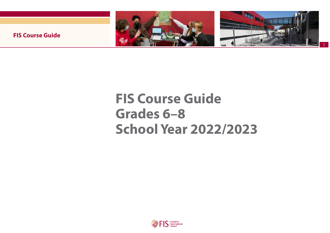

1

**FIS Course Guide** 

# **FIS Course Guide Grades 6–8 School Year 2022/2023**

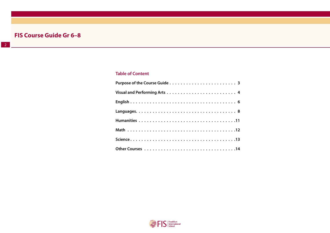### **Table of Content**

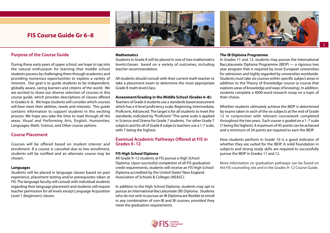#### <span id="page-2-0"></span>**Purpose of the Course Guide**

During these early years of upper school, we hope to tap into the natural enthusiasm for learning that middle school students possess by challenging them through academics and providing numerous opportunities to explore a variety of interests. Our goal is to guide students to be independent, globally aware, caring learners and citizens of the world. We are excited to share our diverse selection of courses in this course guide, which provides descriptions of classes offered in Grades 6–8. We hope students will consider which courses will best meet their abilities, needs and interests. This guide contains information to support students in this exciting process. We hope you take the time to read through all the areas: Visual and Performing Arts, English, Humanities, Languages, Math, Science, and Other course options.

#### **Course Placement**

Courses will be offered based on student interest and enrollment. If a course is canceled due to low enrollment, students will be notified and an alternate course may be chosen.

#### **Languages**

Students will be placed in language classes based on past experience, placement testing and/or prerequisites taken at FIS. The language faculty will consult with individual students regarding their language placement and students will require teacher permission for all levels except Language Acquisition Level 1 (beginners) classes.

#### **Mathematics**

Students in Grade 8 will be placed in one of two mathematics levels/classes based on a variety of outcomes, including teacher recommendation.

All students should consult with their current math teacher or take a placement exam to determine the most appropriate Grade 8 math level/class.

#### **Assessment/Grading in the Middle School (Grades 6–8):**

Teachers of Grade 6 students use a standards based assessment which has a 4-level proficiency scale: Beginning, Intermediate, Proficient, Advanced. The target is for all students to meet the standards, indicated by "Proficient". This same scale is applied in Science and Drama for Grade 7 students. For other Grade 7 subjects and for all of Grade 8 subjects teachers use a 1-7 scale, with 7 being the highest.

#### **Eventual Academic Pathways Offered at FIS in Grades 9–12**

#### **FIS High School Diploma**

All Grade 9–12 students at FIS pursue a High School Diploma. Upon successful completion of all FIS graduation credit requirements, students will receive an FIS High School Diploma accredited by the United States' New England Association of Schools & Colleges (NEASC).

In addition to the High School Diploma, students may opt to pursue an International Baccalaureate (IB) Diploma. Students who do not wish to pursue an IB Diploma are flexible to enroll in any combination of non-IB and IB courses, provided they meet the graduation requirements.

#### **The IB Diploma Programme**

In Grades 11 and 12, students may pursue the International Baccalaureate Diploma Programme (IBDP) — a rigorous two year program that is required by most European universities for admission and highly regarded by universities worldwide. Students must take six courses within specific subject areas in addition to the Theory of Knowledge course (a course that explores areas of knowledge and ways of knowing). In addition, students complete a 4000-word research essay on a topic of their choice.

Whether students ultimately achieve the IBDP is determined by exams taken in each of the six subjects at the end of Grade 12 in conjunction with relevant coursework completed throughout the two years. Each course is graded on a 1–7 scale (7 being the highest). A maximum of 45 points can be achieved and a minimum of 24 points are required to earn the IBDP.

How students perform in Grade 10 is a good indicator of whether they are suited for the IBDP. A solid foundation in subjects and strong study skills are required to successfully pursue the IBDP in Grades 11 and 12.

More information on graduation pathways can be found on the FIS counseling site and in the Grades 9–12 Course Guide.





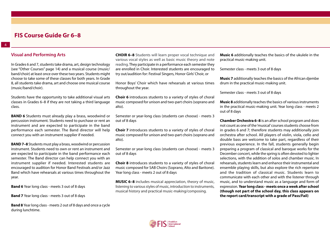#### <span id="page-3-0"></span>**Visual and Performing Arts**

In Grades 6 and 7, students take drama, art, design technology (see "Other Courses" page 14) and a musical course (music/ band/choir) at least once over these two years. Students might choose to take some of these classes for both years. In Grade 8, all students take drama, art and choose one musical course (music/band/choir).

Students have the opportunity to take additional visual arts classes in Grades 6–8 if they are not taking a third language class.

**BAND 6** Students must already play a brass, woodwind or percussion instrument. Students need to purchase or rent an instrument and are expected to participate in the band performance each semester. The Band director will help connect you with an instrument supplier if needed.

**BAND 7–8** Students must play a brass, woodwind or percussion instrument. Students need to own or rent an instrument and are expected to participate in the band performance each semester. The Band director can help connect you with an instrument supplier if needed. Interested students are encouraged to audition for Honor Band Festivals and/or Jazz Band which have rehearsals at various times throughout the year.

**Band 6** Year long class - meets 3 out of 8 days

**Band 7** Year long class - meets 3 out of 8 days

**Band 8** Year long class - meets 2 out of 8 days and once a cycle during lunchtime.

**CHOIR 6–8** Students will learn proper vocal technique and various vocal styles as well as basic music theory and note reading. They participate in a performance each semester they are enrolled in Choir. Interested students are encouraged to try out/audition for: Festival Singers, Honor Girls' Choir, or

Honor Boys' Choir which have rehearsals at various times throughout the year.

**Choir 6** introduces students to a variety of styles of choral music composed for unison and two-part choirs (soprano and alto).

Semester or year-long class (students can choose) - meets 3 out of 8 days

**Choir 7** introduces students to a variety of styles of choral music composed for unison and two-part choirs (soprano and alto).

Semester or year-long class (students can choose) - meets 3 out of 8 days

**[Choir 8](https://fis-public.rubiconatlas.org/Atlas/Browse/View/Map?BackLink=12579&CurriculumMapID=3214&YearID=2020&SourceSiteID=)** introduces students to a variety of styles of choral music composed for SAB Choirs (Soprano, Alto and Baritone). Year long class - meets 2 out of 8 days

**MUSIC 6–8** includes musical appreciation, theory of music, listening to various styles of music, introduction to instruments, musical history and practical music-making/composing.

**Music 6** additionally teaches the basics of the ukulele in the practical music-making unit.

Semester class - meets 3 out of 8 days

**Music 7** additionally teaches the basics of the African djembe drum in the practical music-making unit.

Semester class - meets 3 out of 8 days

**Music 8** additionally teaches the basics of various instruments in the practical music-making unit. Year long class - meets 2 out of 8 days

**Chamber Orchestra 6–8** is an after school program and does not count as one of the 'musical' courses students choose from in grades 6 and 7; therefore students may additionally join orchestra after school. All players of violin, viola, cello and double bass are welcome to take part, regardless of their previous experience. In the fall, students generally begin preparing a program of classical and baroque works for the December concert, while the spring is often devoted to lighter selections, with the addition of solos and chamber music. In rehearsals, students learn and enhance their instrumental and ensemble playing skills, but also explore the rich repertoire and the tradition of classical music. Students learn to communicate with each other and with the listener through music, and to understand music as a language and form of expression. **Year long class - meets once a week after school (though not part of the school day, this class appears on the report card/transcript with a grade of Pass/Fail)**

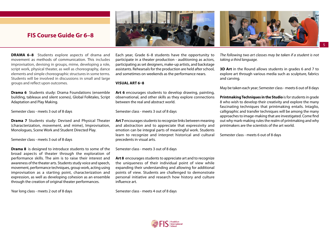



5

## **FIS Course Guide Gr 6–8 FIS Course Guide Gr 6–8**

**DRAMA 6–8** Students explore aspects of drama and movement as methods of communication. This includes improvisation, devising in groups, mime, developing a role, script work, physical theater, as well as choreography, dance elements and simple choreographic structures in some terms. Students will be involved in discussions in small and large groups and reflect upon outcomes.

**Drama 6** Students study: Drama Foundations (ensemble building, tableaux and silent scenes), Global Folktales, Script Adaptation and Play Making.

Semester class - meets 3 out of 8 days

**Drama 7** Students study: Devised and Physical Theater (characterization, movement, and mime), Improvisation, Monologues, Scene Work and Student Directed Play.

Semester class - meets 3 out of 8 days

**Drama 8** is designed to introduce students to some of the broad aspects of theater through the exploration of performance skills. The aim is to raise their interest and awareness of the theater arts. Students study voice and speech, movement, performance techniques, group work, acting using improvisation as a starting point, characterization and expression, as well as developing cohesion as an ensemble through the creation of original theater performances.

Year long class - meets 2 out of 8 days

Each year, Grade 6–8 students have the opportunity to participate in a theater production - auditioning as actors, participating as set designers, make-up artists, and backstage assistants. Rehearsals for the production are held after school, and sometimes on weekends as the performance nears.

#### **VISUAL ART 6–8**

**Art 6** encourages students to develop drawing, painting, observational, and other skills as they explore connections between the real and abstract world.

Semester class - meets 3 out of 8 days

**Art 7** encourages students to recognize links between meaning and abstraction and to appreciate that expressivity and emotion can be integral parts of meaningful work. Students learn to recognize and interpret historical and cultural precedents in visual arts.

Semester class - meets 3 out of 8 days

**Art 8** encourages students to appreciate art and to recognize the uniqueness of their individual point of view while expanding their understanding and allowing for additional points of view. Students are challenged to demonstrate personal initiative and research how history and culture influence art.

Semester class - meets 4 out of 8 days

*The following two art classes may be taken if a student is not taking a third language.*

**3D Art** in the Round allows students in grades 6 and 7 to explore art through various media such as sculpture, fabrics and carving.

May be taken each year; Semester class - meets 6 out of 8 days

**Printmaking Techniques in the Studio** is for students in grade 8 who wish to develop their creativity and explore the many fascinating techniques that printmaking entails. Intaglio, calligraphic and transfer techniques will be among the many approaches to image-making that are investigated. Come find out why mark-making rules the realm of printmaking and why printmakers are the scientists of the art world.

Semester class - meets 6 out of 8 days

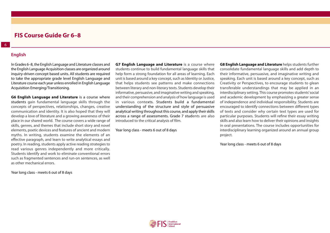#### **English**

<span id="page-5-0"></span>6

In Grades 6–8, the English Language and Literature classes and the English Language Acquisition classes are organized around inquiry-driven concept based units. All students are required to take the appropriate grade level English Language and Literature course each year unless enrolled in English Language Acquisition Emerging/Transitioning.

**G6 English Language and Literature** is a course where students gain fundamental language skills through the concepts of perspectives, relationships, changes, creative communication and identity. It is also hoped that they will develop a love of literature and a growing awareness of their place in our shared world. The course covers a wide range of skills, genres, and themes that include short story and novel elements, poetic devices and features of ancient and modern myths. In writing, students examine the elements of an effective paragraph, and learn to write analytical essays and poetry. In reading, students apply active reading strategies to read various genres independently and more critically. Students identify and work to eliminate conventional errors such as fragmented sentences and run-on sentences, as well as other mechanical errors.

Year long class - meets 6 out of 8 days

**G7 English Language and Literature** is a course where students continue to build fundamental language skills that help form a strong foundation for all areas of learning. Each unit is based around a key concept, such as Identity or Justice, that helps students see patterns and make connections between literary and non-literary texts. Students develop their informative, persuasive, and imaginative writing and speaking, and their comprehension and analysis of how language is used in various contexts. Students build a fundamental understanding of the structure and style of persuasive analytical writing throughout this course, and apply their skills across a range of assessments. Grade 7 students are also introduced to the critical analysis of film.

Year long class - meets 6 out of 8 days

**G8 English Language and Literature** helps students further consolidate fundamental language skills and add depth to their informative, persuasive, and imaginative writing and speaking. Each unit is based around a key concept, such as Creativity or Perspectives, to encourage students to glean transferable understandings that may be applied in an interdisciplinary setting. This course promotes students' social and academic development by emphasizing a greater sense of independence and individual responsibility. Students are encouraged to identify connections between different types of texts and consider why certain text types are used for particular purposes. Students will refine their essay writing skills and also learn how to deliver their opinions and insights in oral presentations. The course includes opportunities for interdisciplinary learning organized around an annual group project.

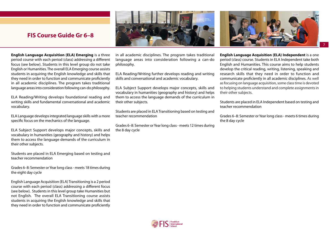

**English Language Acquisition (ELA) Emerging** is a three period course with each period (class) addressing a different focus (see below). Students in this level group do not take English or Humanities. The overall ELA Emerging course assists students in acquiring the English knowledge and skills that they need in order to function and communicate proficiently in all academic disciplines. The program takes traditional language areas into consideration following can-do philosophy.

ELA Reading/Writing develops foundational reading and writing skills and fundamental conversational and academic vocabulary.

ELA Language develops integrated language skills with a more specific focus on the mechanics of the language.

ELA Subject Support develops major concepts, skills and vocabulary in humanities (geography and history) and helps them to access the language demands of the curriculum in their other subjects.

Students are placed in ELA Emerging based on testing and teacher recommendation

Grades 6–8: Semester or Year long class - meets 18 times during the eight day cycle

English Language Acquisition (ELA) Transitioning is a 2 period course with each period (class) addressing a different focus (see below). Students in this level group take Humanities but not English. The overall ELA Transitioning course assists students in acquiring the English knowledge and skills that they need in order to function and communicate proficiently in all academic disciplines. The program takes traditional language areas into consideration following a can-do philosophy.

ELA Reading/Writing further develops reading and writing skills and conversational and academic vocabulary.

ELA Subject Support develops major concepts, skills and vocabulary in humanities (geography and history) and helps them to access the language demands of the curriculum in their other subjects.

Students are placed in ELA Transitioning based on testing and teacher recommendation

Grades 6–8: Semester or Year long class - meets 12 times during the 8 day cycle

**English Language Acquisition (ELA) Independent** is a one period (class) course. Students in ELA Independent take both English and Humanities. This course aims to help students develop the critical reading, writing, listening, speaking and research skills that they need in order to function and communicate proficiently in all academic disciplines. As well as focusing on language acquisition, some class time is devoted to helping students understand and complete assignments in their other subjects.

7

Students are placed in ELA Independent based on testing and teacher recommendation

Grades 6–8: Semester or Year long class - meets 6 times during the 8 day cycle

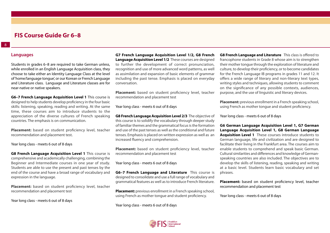#### **Languages**

<span id="page-7-0"></span>8

Students in grades 6–8 are required to take German unless. while enrolled in an English Language Acquisition class, they choose to take either an Identity Language Class at the level of 'home/language tongue', or our Korean or French Language and Literature class. Language and Literature classes are for near-native or native speakers.

**G6–7 French Language Acquisition Level 1** This course is designed to help students develop proficiency in the four basic skills: listening, speaking, reading and writing. At the same time, these courses aim to introduce students to the appreciation of the diverse cultures of French speaking countries. The emphasis is on communication.

**Placement:** based on student proficiency level, teacher recommendation and placement test.

Year long class - meets 6 out of 8 days

**G8 French Language Acquisition Level 1** This course is comprehensive and academically challenging, combining the Beginner and Intermediate courses in one year of study. Students are able to use the present and past tenses by the end of the course and have a broad range of vocabulary and expression in the language.

**Placement:** based on student proficiency level, teacher recommendation and placement test

Year long class - meets 6 out of 8 days

**G7 French Language Acquisition Level 1/2, G8 French Language Acquisition Level 1/2** These courses are designed to further the development of correct pronunciation, recognition and use of more advanced word patterns, as well as assimilation and expansion of basic elements of grammar including the past tense. Emphasis is placed on everyday conversation.

**Placement:** based on student proficiency level, teacher recommendation and placement test

Year long class - meets 6 out of 8 days

**G8 French Language Acquisition Level 2/3** The objective of this course is to solidify the vocabulary through deeper study of familiar themes and the grammatical focus is the formation and use of the past tenses as well as the conditional and future tenses. Emphasis is placed on written expression as well as an increased fluency and comprehension.

**Placement:** based on student proficiency level, teacher recommendation and placement test

Year long class - meets 6 out of 8 days

**G6–7 French Language and Literature** This course is designed to consolidate and use a full range of vocabulary and grammatical features as well as to introduce French literature.

**Placement:** previous enrollment in a French speaking school, using French as mother tongue and student proficiency.

Year long class - meets 6 out of 8 days

**G8 French Language and Literature** This class is offered to francophone students in Grade 8 whose aim is to strengthen their mother tongue through the exploration of literature and culture, to develop their proficiency, or to become candidates for the French Language IB programs in grades 11 and 12. It offers a wide range of literary and non-literary text types, writing styles and techniques, allowing students to comment on the significance of any possible contexts, audiences, purpose, and the use of linguistic and literary devices.

**Placement:** previous enrollment in a French speaking school, using French as mother tongue and student proficiency.

Year long class - meets 6 out of 8 days

**G6 German Language Acquisition Level 1, G7 German Language Acquisition Level 1, G8 German Language Acquisition Level 1** These courses introduce students to German language, life and civilization and are designed to facilitate their living in the Frankfurt area. The courses aim to enable students to comprehend and speak basic German. Cultural similarities and differences and knowledge of Germanspeaking countries are also included. The objectives are to develop the skills of listening, reading, speaking and writing at a basic level. Students learn basic vocabulary and set phrases.

**Placement:** based on student proficiency level, teacher recommendation and placement test

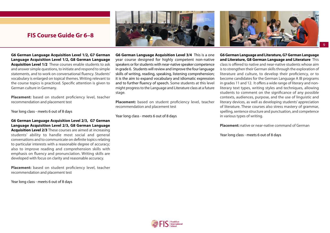

**G6 German Language Acquisition Level 1/2, G7 German Language Acquisition Level 1/2, G8 German Language Acquisition Level 1/2** These courses enable students to ask and answer simple questions, to initiate and respond to simple statements, and to work on conversational fluency. Students' vocabulary is enlarged on topical themes. Writing relevant to the course topics is practiced. Specific attention is given to German culture in Germany.

**Placement:** based on student proficiency level, teacher recommendation and placement test

Year long class - meets 6 out of 8 days

**G6 German Language Acquisition Level 2/3, G7 German Language Acquisition Level 2/3, G8 German Language Acquisition Level 2/3** These courses are aimed at increasing students' ability to handle most social and general conversations and to communicate on definite topics relating to particular interests with a reasonable degree of accuracy; also to improve reading and comprehension skills with emphasis on fluency and pronunciation. Writing skills are developed with focus on clarity and reasonable accuracy.

Placement: based on student proficiency level, teacher recommendation and placement test

Year long class - meets 6 out of 8 days

**G6 German Language Acquisition Level 3/4** This is a one year course designed for highly competent non-native speakers or for students with near-native speaker competence in grade 6. Students will review and improve the four language skills of writing, reading, speaking, listening comprehension; it is the aim to expand vocabulary and idiomatic expression and to further fluency of speech. Some students at this level might progress to the Language and Literature class at a future stage.

**Placement:** based on student proficiency level, teacher recommendation and placement test

Year long class - meets 6 out of 8 days

**G6 German Language and Literature, G7 German Language and Literature, G8 German Language and Literature** This class is offered to native and near-native students whose aim is to strengthen their German skills through the exploration of literature and culture, to develop their proficiency, or to become candidates for the German Language A IB programs in grades 11 and 12. It offers a wide range of literary and nonliterary text types, writing styles and techniques, allowing students to comment on the significance of any possible contexts, audiences, purpose, and the use of linguistic and literary devices, as well as developing students' appreciation of literature. These courses also stress mastery of grammar, spelling, sentence structure and punctuation, and competence in various types of writing.

**Placement:** native or near-native command of German



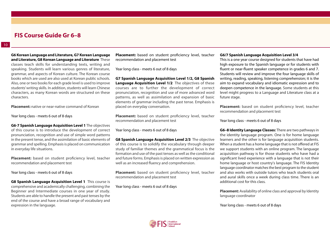**G6 Korean Language and Literature, G7 Korean Language and Literature, G8 Korean Language and Literature** These classes teach skills for understanding texts, writing and speaking. Students will learn various genres of literature, grammar, and aspects of Korean culture. The Korean course books which are used are also used at Korean public schools. Also, one or two books for each grade level is used to improve students' writing skills. In addition, students will learn Chinese characters, as many Korean words are structured on these characters.

**Placement:** native or near-native command of Korean

Year long class - meets 6 out of 8 days

**G6-7 Spanish Language Acquisition Level 1** The objectives of this course is to introduce the development of correct pronunciation, recognition and use of simple word patterns in the present tense, and the assimilation of basic elements of grammar and spelling. Emphasis is placed on communication in everyday life situations.

**Placement:** based on student proficiency level, teacher recommendation and placement test

Year long class - meets 6 out of 8 days

**G8 Spanish Language Acquisition Level 1** This course is comprehensive and academically challenging, combining the Beginner and Intermediate courses in one year of study. Students are able to handle the present and past tenses by the end of the course and have a broad range of vocabulary and expression in the language.

**Placement:** based on student proficiency level, teacher recommendation and placement test

Year long class - meets 6 out of 8 days

**G7 Spanish Language Acquisition Level 1/2, G8 Spanish Language Acquisition Level 1/2** The objectives of these courses are to further the development of correct pronunciation, recognition and use of more advanced word patterns, as well as assimilation and expansion of basic elements of grammar including the past tense. Emphasis is placed on everyday conversation.

**Placement:** based on student proficiency level, teacher recommendation and placement test

Year long class - meets 6 out of 8 days

**G8 Spanish Language Acquisition Level 2/3** The objective of this course is to solidify the vocabulary through deeper study of familiar themes and the grammatical focus is the formation and use of the past tenses as well as the conditional and future forms. Emphasis is placed on written expression as well as an increased fluency and comprehension.

**Placement:** based on student proficiency level, teacher recommendation and placement test

Year long class - meets 6 out of 8 days

#### **G6/7 Spanish Language Acquisition Level 3/4**

This is a one year course designed for students that have had high exposure to the Spanish language or for students with fluent or near-fluent speaker competence in grades 6 and 7. Students will review and improve the four language skills of writing, reading, speaking, listening comprehension; it is the aim to expand vocabulary and idiomatic expression and to deepen competence in the language. Some students at this level might progress to a Language and Literature class at a future stage.

**Placement:** based on student proficiency level, teacher recommendation and placement test

Year long class - meets 6 out of 8 days

**G6–8 Identity Language Classes:** There are two pathways in the identity language program. One is for home language learners and the other is for language acquisition students. When a student has a home language that is not offered at FIS we support students with an online program. The language acquisition pathway is for those students who have had a significant lived experience with a language that is not their home language or host country's language. The FIS Identity language coordinator matches the best program to the student and also works with outside tutors who teach students oral and aural skills once a week during class time. There is an additional cost for this class.

**Placement:** Availability of online class and approval by Identity language coordinator

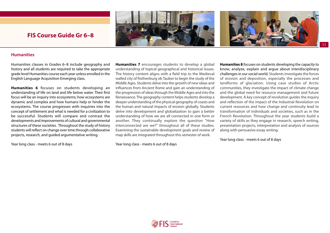



#### <span id="page-10-0"></span>**Humanities**

Humanities classes in Grades 6–8 include geography and history and all students are required to take the appropriate grade level Humanities course each year unless enrolled in the English Language Acquisition Emerging class.

**Humanities 6** focuses on students developing an understanding of life on land and life below water. Their first focus will be an inquiry into ecosystems; how ecosystems are dynamic and complex and how humans help or hinder the ecosystems. The course progresses with inquiries into the concept of settlement and what is needed for a civilization to be successful. Students will compare and contrast the developments and improvements of cultural and governmental structures of these societies. Throughout the study of history students will reflect on change over time through collaborative projects, research, and guided argumentative writing.

Year long class - meets 6 out of 8 days

**Humanities 7** encourages students to develop a global understanding of topical geographical and historical issues. The history content aligns with a field trip to the Medieval walled city of Rothenburg ob Tauber to begin the study of the Middle Ages. Students delve into the growth of new ideas and influences from Ancient Rome and gain an understanding of the progression of ideas through the Middle Ages and into the Renaissance. The geography content helps students develop a deeper understanding of the physical geography of coasts and the human and natural impacts of erosion globally. Students delve into development and globalization to gain a better understanding of how we are all connected in one form or another. They continually explore the question "How interconnected are we?" throughout all of these studies. Examining the sustainable development goals and review of map skills are integrated throughout this semester of work.

Year long class - meets 6 out of 8 days

**Humanities 8** focuses on students developing the capacity to know, analyze, explain and argue about interdisciplinary challenges in our social world. Students investigate the forces of erosion and deposition, especially the processes and landforms of glaciation. Using case studies of Arctic communities, they investigate the impact of climate change and the global need for resource management and future development. A key concept of revolution guides the inquiry and reflection of the impact of the Industrial Revolution on current resources and how change and continuity lead to transformation of individuals and societies, such as in the French Revolution. Throughout the year students build a variety of skills as they engage in research, speech writing, presentation projects, interpretation and analysis of sources along with persuasive essay writing.

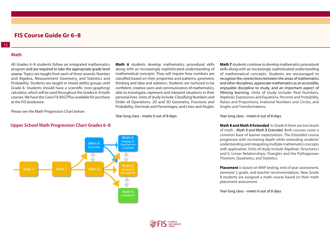#### <span id="page-11-0"></span>**Math**

All Grades 6–8 students follow an integrated mathematics program and are required to take the appropriate grade level course. Topics are taught from each of three strands: Number and Algebra, Measurement Geometry, and Statistics and Probability. Students are taught in mixed ability groups until Grade 8. Students should have a scientific (non-graphing) calculator, which will be used throughout the Grades 6–8 math courses. We have the Casio FX-85GTPlus available for purchase at the FIS bookstore.

along with an increasingly sophisticated understanding of mathematical concepts. They will inquire how numbers are classified based on their properties and patterns, geometric thinking and data and statistics. Students are nurtured to be confident, creative users and communicators of mathematics, able to investigate, represent and interpret situations in their personal lives. Units of study include: Classifying Numbers and Order of Operations, 2D and 3D Geometry, Fractions and Probability, Decimals and Percentages, and Lines and Angles.

**Math 6** students develop mathematics procedural skills

Year long class - meets 6 out of 8 days

**Math 7** students continue to develop mathematics procedural skills along with an increasingly sophisticated understanding of mathematical concepts. Students are encouraged to recognise the connections between the areas of mathematics and other disciplines, appreciate mathematics as an accessible, enjoyable discipline to study, and an important aspect of lifelong learning. Units of study include: Real Numbers, Algebraic Expressions and Equations, Percents and Probability, Ratios and Proportions, Irrational Numbers and Circles, and Angles and Transformations.

Year long class - meets 6 out of 8 days

**Math 8 and Math 8 Extended** In Grade 8 there are two levels of math - *Math 8 and Math 8 Extended.* Both courses cover a common base of learner expectations. The Extended course progresses with increasing depth while extending students' understanding and integrating multiple mathematics concepts with application. Units of study include Algebraic Structures I and II, Linear Relationships, Triangles and the Pythagorean Theorem, Quadratics, and Statistics.

**Placement** is based on MAP testing, end of year assessment, semester 2 grade, and teacher recommendation. New Grade 8 students are assigned a math course based on their math placement assessment.

Year long class - meets 6 out of 8 days



#### **[U](https://docs.google.com/presentation/d/1sXOF1aVR5suX3-Tdn1ZNHyTuuv7t3gqmB90FcfkXOxg/edit#slide=id.g6f3d2a6f0a_0_6)pper School Math Progression Chart Grades 6–8**

Please see the [Math Progression Chart below:](https://docs.google.com/presentation/d/1sXOF1aVR5suX3-Tdn1ZNHyTuuv7t3gqmB90FcfkXOxg/edit#slide=id.g6f3d2a6f0a_0_6)

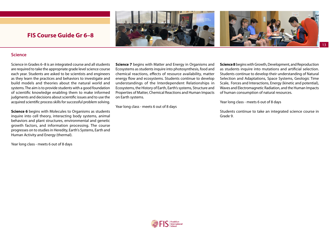



13

## <span id="page-12-0"></span>**FIS Course Guide Gr 6–8 FIS Course Guide Gr 6–8**

#### **Science**

Science in Grades 6–8 is an integrated course and all students are required to take the appropriate grade level science course each year. Students are asked to be scientists and engineers as they learn the practices and behaviors to investigate and build models and theories about the natural world and systems. The aim is to provide students with a good foundation of scientific knowledge enabling them to make informed judgments and decisions about scientific issues and to use the acquired scientific process skills for successful problem solving.

**Science 6** begins with Molecules to Organisms as students inquire into cell theory, interacting body systems, animal behaviors and plant structures, environmental and genetic growth factors, and information processing. The course progresses on to studies in Heredity, Earth's Systems, Earth and Human Activity and Energy (thermal).

Year long class - meets 6 out of 8 days

**Science 7** begins with Matter and Energy in Organisms and Ecosystems as students inquire into photosynthesis, food and chemical reactions, effects of resource availability, matter energy flow and ecosystems. Students continue to develop understandings of the Interdependent Relationships in Ecosystems, the History of Earth, Earth's systems, Structure and Properties of Matter, Chemical Reactions and Human Impacts on Earth systems.

Year long class - meets 6 out of 8 days

**Science 8** begins with Growth, Development, and Reproduction as students inquire into mutations and artificial selection. Students continue to develop their understanding of Natural Selection and Adaptations, Space Systems, Geologic Time Scale, Forces and Interactions, Energy (kinetic and potential), Waves and Electromagnetic Radiation, and the Human Impacts of human consumption of natural resources.

Year long class - meets 6 out of 8 days

Students continue to take an integrated science course in Grade 9.

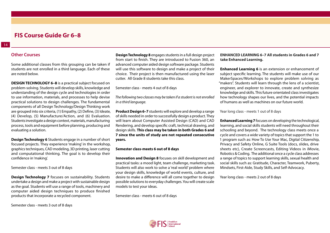#### <span id="page-13-0"></span>**Other Courses**

Some additional classes from this grouping can be taken if students are not enrolled in a third language. Each of these are noted below.

**DESIGN TECHNOLOGY 6–8** is a practical subject focused on problem-solving. Students will develop skills, knowledge and understanding of the design cycle and technologies in order to use information, materials, and processes to help devise practical solutions to design challenges. The fundamental components of all Design Technology/Design Thinking work are grouped into six criteria, (1) Empathy, (2) Define, (3) Ideate, (4) Develop, (5) Manufacture/Action, and (6) Evaluation. Students investigate a design context, materials, manufacturing process, tools and equipment before planning, producing and evaluating a solution.

**Design Technology 6** Students engage in a number of short focused projects. They experience 'making' in the workshop, graphics techniques, CAD modeling, 3D printing, laser cutting and computational thinking. The goal is to develop their confidence in 'making'.

Semester class - meets 3 out of 8 days

**Design Technology 7** focuses on sustainability. Students undertake a design and make a project with sustainable design as the goal. Students will use a range of tools, machinery and computer aided design techniques to produce finished products that incorporate a recycled component.

**Design Technology 8** engages students in a full design project from start to finish. They are introduced to Fusion 360, an advanced computer aided design software package. Students will use this software to design and make a project of their choice. Their project is then manufactured using the laser cutter. All Grade 8 students take this class.

Semester class - meets 4 out of 8 days

*The following two classes may be taken if a student is not enrolled in a third language.*

**Product Design 6–7** students will explore and develop a range of skills needed in order to successfully design a product. They will learn about Computer Assisted Design (CAD) and CAD Rendering, and develop specific craft, technical drawing, and design skills. **This class may be taken in both Grades 6 and 7 since the units of study are not repeated consecutive years.** 

#### **Semester class-meets 6 out of 8 days**

**Innovation and Design 8** focuses on skill development and practical tasks: a mood light, team challenge, marketing task. Students will also work to solve a 'real world' problem where your design skills, knowledge of world events, culture, and desire to make a difference will all come together to design possible solutions to everyday challenges. You will create scale models to test your ideas.

Semester class - meets 6 out of 8 days

#### **ENHANCED LEARNING 6–7 All students in Grades 6 and 7 take Enhanced Learning.**

**Enhanced Learning 6** is an extension or enhancement of subject specific learning. The students will make use of our MakerSpaces/Workshops to explore problem solving as "makers". Students will learn through the lens of a scientist, engineer, and explorer to innovate, create and synthesize knowledge and skills. This future orientated class investigates how technology shapes our lives, and the potential impacts of humans as well as machines on our future world.

Year long class - meets 1 out of 8 days

**Enhanced Learning 7** focuses on developing the technological, learning, and social skills students will need throughout their schooling and beyond. The technology class meets once a cycle and covers a wide variety of topics that support the 1 to 1 program such as: How To Use Your Mac, Digital Citizenship, Privacy and Safety Online, G Suite Tools (docs, slides, drive sheets etc), Create Screencasts, Editing Videos in iMovie, Robotics & Coding. The additional once a cycle class addresses a range of topics to support learning skills, sexual health and social skills such as: Gratitude, Character, Teamwork, Puberty, Mindsets, First-Aide, Study Skills, and Self-Advocacy.

Year long class - meets 2 out of 8 days

Semester class - meets 3 out of 8 days

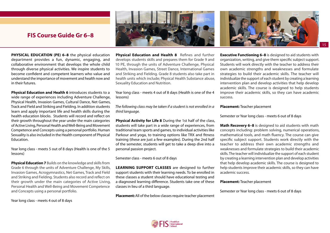

**PHYSICAL EDUCATION (PE) 6–8** the physical education department provides a fun, dynamic, engaging, and collaborative environment that develops the whole child through diverse physical activities. We inspire students to become confident and competent learners who value and understand the importance of movement and health now and in their futures.

**Physical Education and Health 6** introduces students to a wide range of experiences including Adventure Challenge, Physical Health, Invasion Games, Cultural Dance, Net Games, Track and Field and Striking and Fielding. In addition students learn and apply important life and health skills during the health education blocks. Students will record and reflect on their growth throughout the year under the main categories of Active Living, Personal Health and Well-Being and Movement Competence and Concepts using a personal portfolio. Human Sexuality is also included in the Health component of Physical Education.

Year long class - meets 5 out of 8 days (Health is one of the 5 lessons)

**Physical Education 7** Builds on the knowledge and skills from Grade 6 through the units of Adventure Challenge, My Skills, Invasion Games, Acrogymnastics, Net Games, Track and Field and Striking and Fielding. Students also record and reflect on their growth under the main categories of Active Living, Personal Health and Well-Being and Movement Competence and Concepts using a personal portfolio.

Year long class - meets 4 out of 8 days

**Physical Education and Health 8** Refines and further develops students skills and prepares them for Grade 9 and 10 PE, through the units of Adventure Challenge, Physical Health, Invasion Games, Street Dance, International Games and Striking and Fielding. Grade 8 students also take part in health units which include; Physical Health Substance abuse, Sexuality Education and Nutrition.

Year long class - meets 4 out of 8 days (Health is one of the 4 lessons)

*The following class may be taken if a student is not enrolled in a third language.*

**Physical Activity for Life 8** During the 1st half of the class, students will take part in a wide range of experiences, from traditional team sports and games, to individual activities like Parkour and yoga, to training options like TRX and fitness training (these are just a few examples). During the 2nd half of the semester, students will get to take a deep dive into a personal passion project.

Semester class - meets 6 out of 8 days

**LEARNING SUPPORT CLASSES** are designed to further support students with their learning needs. To be enrolled in these classes a student should have educational testing and a diagnosed learning difference. Students take one of these classes in lieu of a third language.

**Placement:**All of the below classes require teacher placement



**Executive Functioning 6–8** is designed to aid students with organization, writing, and give them specific subject support. Students will work directly with the teacher to address their own academic strengths and weaknesses and formulate strategies to build their academic skills. The teacher will individualize the support of each student by creating a learning intervention plan and develop activities that help develop academic skills. The course is designed to help students improve their academic skills, so they can have academic success.

**Placement:** Teacher placement

Semester or Year long class - meets 6 out of 8 days

**Math Recovery 6–8** is designed to aid students with math concepts including: problem solving, numerical operations, mathematical tools, and math fluency. The course can give specific subject support. Students work directly with the teacher to address their own academic strengths and weaknesses and formulate strategies to build their academic skills. The teacher will individualize the support of each student by creating a learning intervention plan and develop activities that help develop academic skills. The course is designed to help students improve their academic skills, so they can have academic success.

#### **Placement:** Teacher placement

Semester or Year long class - meets 6 out of 8 days

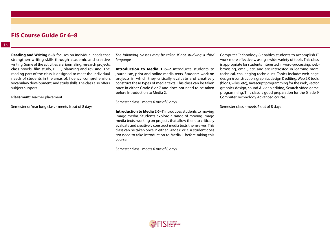## **FIS Course Guide Gr 6–8**

**Reading and Writing 6–8** focuses on individual needs that strengthen writing skills through academic and creative writing. Some of the activities are: journaling, research projects, class novels, film study, PEEL, planning and revising. The reading part of the class is designed to meet the individual needs of students in the areas of: fluency, comprehension, vocabulary development, and study skills. The class also offers subject support.

**Placement:** Teacher placement

Semester or Year long class - meets 6 out of 8 days

*The following classes may be taken if not studying a third language* 

**Introduction to Media 1 6–7** introduces students to journalism, print and online media texts. Students work on projects in which they critically evaluate and creatively construct these types of media texts. This class can be taken once in either Grade 6 or 7 and does not need to be taken before Introduction to Media 2.

Semester class - meets 6 out of 8 days

**Introduction to Media 2 6–7** introduces students to moving image media. Students explore a range of moving image media texts, working on projects that allow them to critically evaluate and creatively construct media texts themselves. This class can be taken once in either Grade 6 or 7. A student does *not* need to take Introduction to Media 1 before taking this course.

Semester class - meets 6 out of 8 days

Computer Technology 8 enables students to accomplish IT work more effectively, using a wide variety of tools. This class is appropriate for students interested in word-processing, webbrowsing, email, etc, and are interested in learning more technical, challenging techniques. Topics include: web-page design & construction, graphics design & editing, Web 2.0 tools (blogs, wikis, etc), Javascript programming for the Web, vector graphics design, sound & video editing, Scratch video game programming. This class is good preparation for the Grade 9 Computer Technology Advanced course.

Semester class - meets 6 out of 8 days